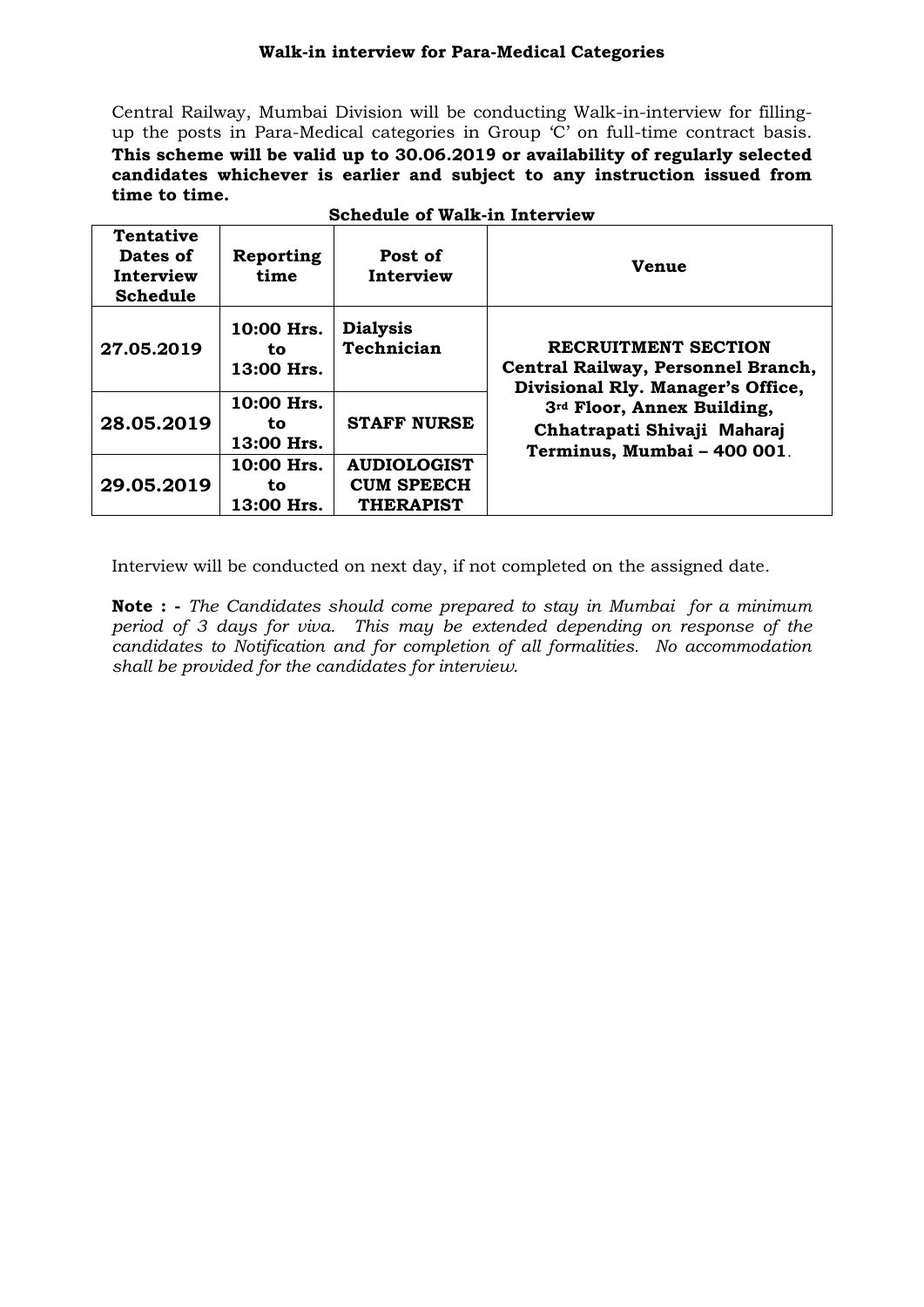# **Walk-in interview for Para-Medical Categories**

Central Railway, Mumbai Division will be conducting Walk-in-interview for fillingup the posts in Para-Medical categories in Group 'C' on full-time contract basis. **This scheme will be valid up to 30.06.2019 or availability of regularly selected candidates whichever is earlier and subject to any instruction issued from time to time.**

| <b>Tentative</b><br>Dates of<br>Interview<br><b>Schedule</b> | Reporting<br>time               | Post of<br>Interview                                        | <b>Venue</b>                                                                                          |
|--------------------------------------------------------------|---------------------------------|-------------------------------------------------------------|-------------------------------------------------------------------------------------------------------|
| 27.05.2019                                                   | 10:00 Hrs.<br>to.<br>13:00 Hrs. | <b>Dialysis</b><br>Technician                               | <b>RECRUITMENT SECTION</b><br>Central Railway, Personnel Branch,<br>Divisional Rly. Manager's Office, |
| 28.05.2019                                                   | 10:00 Hrs.<br>to<br>13:00 Hrs.  | <b>STAFF NURSE</b>                                          | 3rd Floor, Annex Building,<br>Chhatrapati Shivaji Maharaj<br>Terminus, Mumbai - 400 001.              |
| 29.05.2019                                                   | 10:00 Hrs.<br>to<br>13:00 Hrs.  | <b>AUDIOLOGIST</b><br><b>CUM SPEECH</b><br><b>THERAPIST</b> |                                                                                                       |

## **Schedule of Walk-in Interview**

Interview will be conducted on next day, if not completed on the assigned date.

**Note : -** *The Candidates should come prepared to stay in Mumbai for a minimum period of 3 days for viva. This may be extended depending on response of the candidates to Notification and for completion of all formalities. No accommodation shall be provided for the candidates for interview.*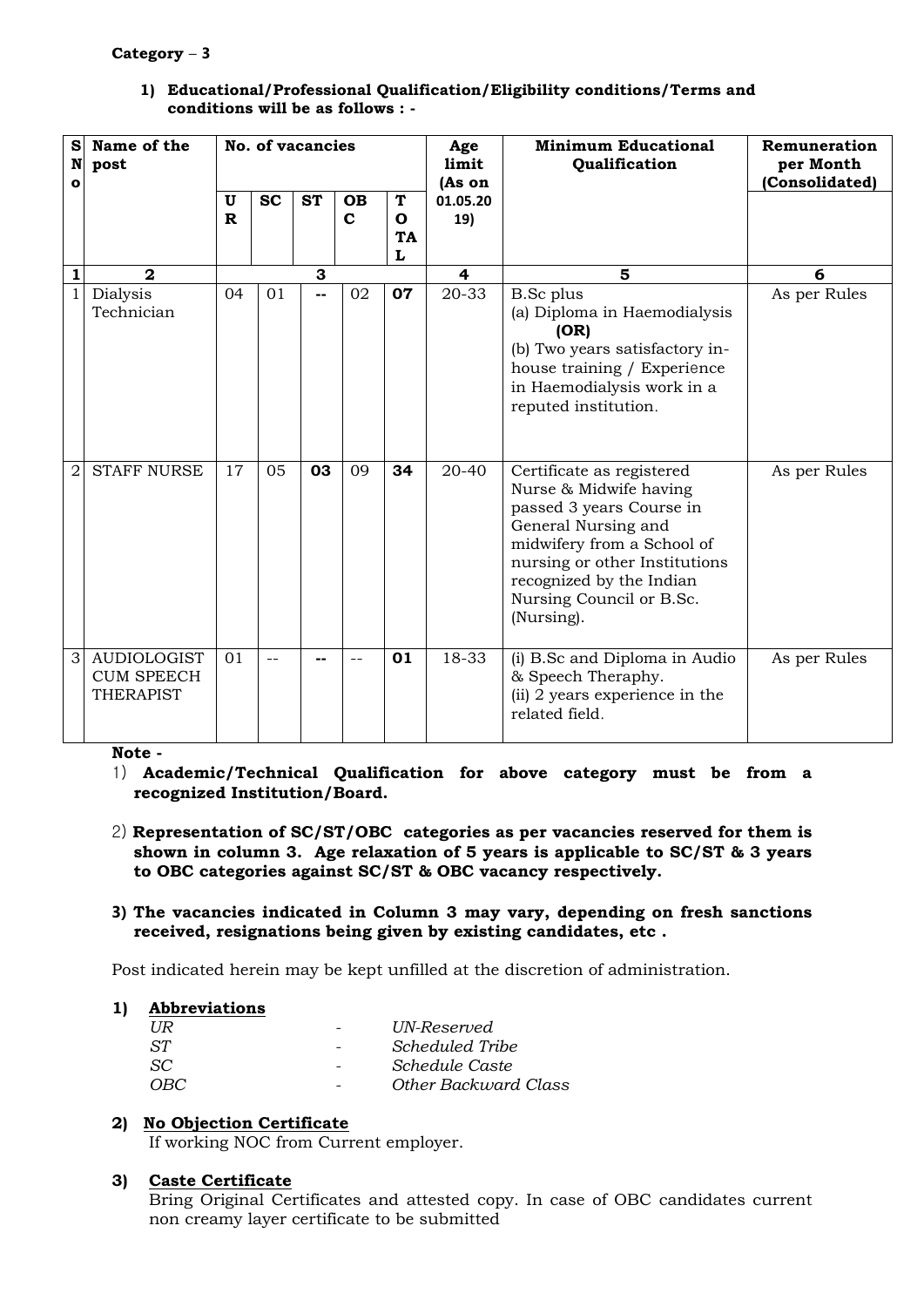## **Category** – **3**

| S<br>N<br>O    | Name of the<br>post                                  |                              |           | No. of vacancies |                          |                          | Age<br>limit<br>(As on | <b>Minimum Educational</b><br>Qualification                                                                                                                                                                                                 | Remuneration<br>per Month<br>(Consolidated) |
|----------------|------------------------------------------------------|------------------------------|-----------|------------------|--------------------------|--------------------------|------------------------|---------------------------------------------------------------------------------------------------------------------------------------------------------------------------------------------------------------------------------------------|---------------------------------------------|
|                |                                                      | $\mathbf{U}$<br>$\mathbf{R}$ | <b>SC</b> | <b>ST</b>        | <b>OB</b><br>$\mathbf c$ | T<br>O<br><b>TA</b><br>L | 01.05.20<br>19)        |                                                                                                                                                                                                                                             |                                             |
| 1              | $\mathbf{2}$                                         |                              |           | 3                |                          |                          | 4                      | 5                                                                                                                                                                                                                                           | 6                                           |
| $\mathbf{1}$   | Dialysis<br>Technician                               | 04                           | 01        | --               | 02                       | 07                       | 20-33                  | <b>B.Sc</b> plus<br>(a) Diploma in Haemodialysis<br>(OR)<br>(b) Two years satisfactory in-<br>house training / Experience<br>in Haemodialysis work in a<br>reputed institution.                                                             | As per Rules                                |
| $\overline{2}$ | <b>STAFF NURSE</b>                                   | 17                           | 05        | 03               | 09                       | 34                       | 20-40                  | Certificate as registered<br>Nurse & Midwife having<br>passed 3 years Course in<br>General Nursing and<br>midwifery from a School of<br>nursing or other Institutions<br>recognized by the Indian<br>Nursing Council or B.Sc.<br>(Nursing). | As per Rules                                |
| 3              | <b>AUDIOLOGIST</b><br><b>CUM SPEECH</b><br>THERAPIST | 01                           |           |                  | $-$                      | 01                       | 18-33                  | (i) B.Sc and Diploma in Audio<br>& Speech Theraphy.<br>(ii) 2 years experience in the<br>related field.                                                                                                                                     | As per Rules                                |

#### **1) Educational/Professional Qualification/Eligibility conditions/Terms and conditions will be as follows : -**

**Note -** 

- 1) **Academic/Technical Qualification for above category must be from a recognized Institution/Board.**
- 2) **Representation of SC/ST/OBC categories as per vacancies reserved for them is shown in column 3. Age relaxation of 5 years is applicable to SC/ST & 3 years to OBC categories against SC/ST & OBC vacancy respectively.**

## **3) The vacancies indicated in Column 3 may vary, depending on fresh sanctions received, resignations being given by existing candidates, etc .**

Post indicated herein may be kept unfilled at the discretion of administration.

## **1) Abbreviations**

|                              | UN-Reserved          |
|------------------------------|----------------------|
| $\qquad \qquad \blacksquare$ | Scheduled Tribe      |
|                              | Schedule Caste       |
|                              | Other Backward Class |
|                              |                      |

# **2) No Objection Certificate**

If working NOC from Current employer.

## **3) Caste Certificate**

Bring Original Certificates and attested copy. In case of OBC candidates current non creamy layer certificate to be submitted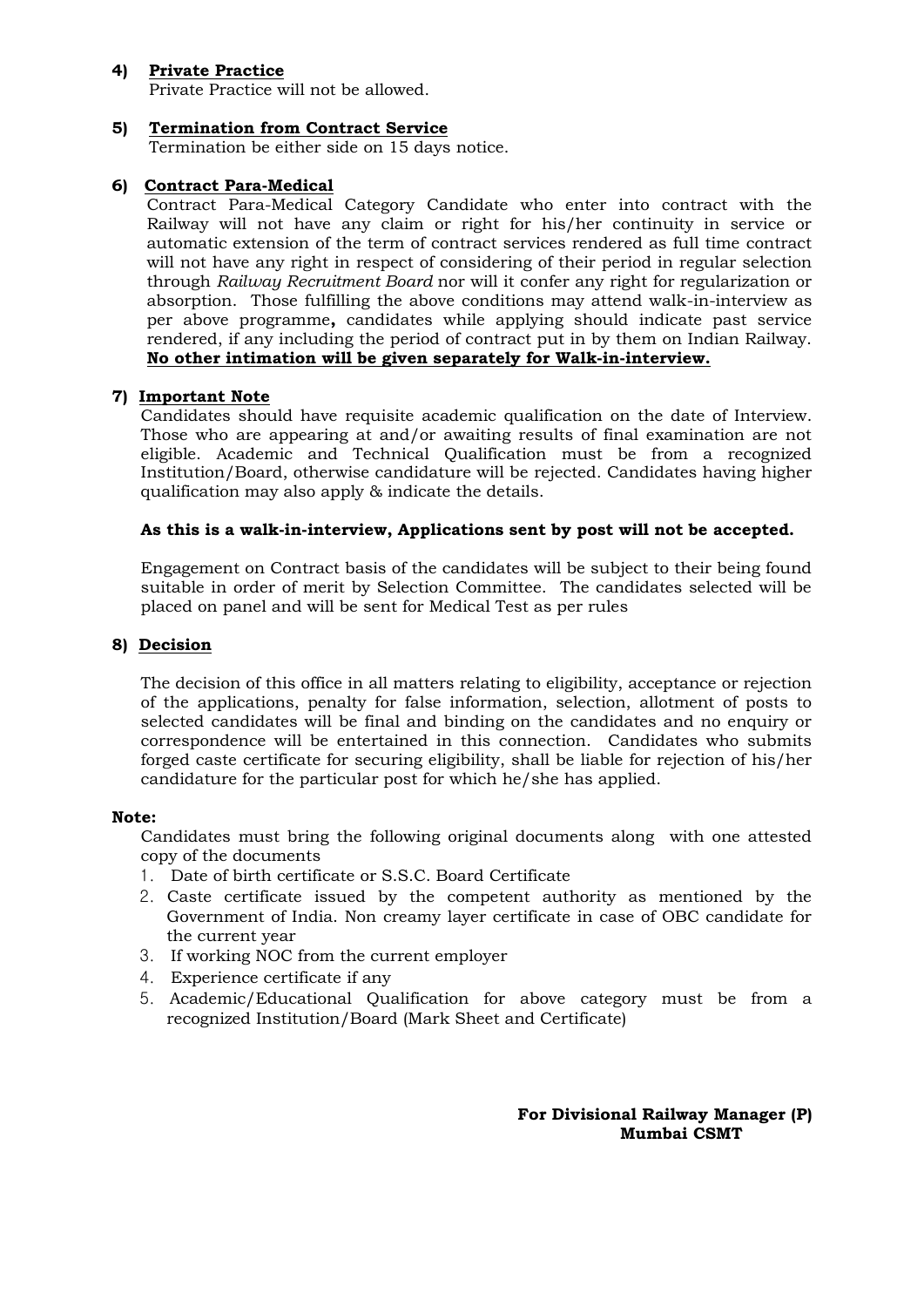## **4) Private Practice**

Private Practice will not be allowed.

## **5) Termination from Contract Service**

Termination be either side on 15 days notice.

## **6) Contract Para-Medical**

Contract Para-Medical Category Candidate who enter into contract with the Railway will not have any claim or right for his/her continuity in service or automatic extension of the term of contract services rendered as full time contract will not have any right in respect of considering of their period in regular selection through *Railway Recruitment Board* nor will it confer any right for regularization or absorption. Those fulfilling the above conditions may attend walk-in-interview as per above programme**,** candidates while applying should indicate past service rendered, if any including the period of contract put in by them on Indian Railway. **No other intimation will be given separately for Walk-in-interview.**

#### **7) Important Note**

Candidates should have requisite academic qualification on the date of Interview. Those who are appearing at and/or awaiting results of final examination are not eligible. Academic and Technical Qualification must be from a recognized Institution/Board, otherwise candidature will be rejected. Candidates having higher qualification may also apply & indicate the details.

#### **As this is a walk-in-interview, Applications sent by post will not be accepted.**

Engagement on Contract basis of the candidates will be subject to their being found suitable in order of merit by Selection Committee. The candidates selected will be placed on panel and will be sent for Medical Test as per rules

#### **8) Decision**

The decision of this office in all matters relating to eligibility, acceptance or rejection of the applications, penalty for false information, selection, allotment of posts to selected candidates will be final and binding on the candidates and no enquiry or correspondence will be entertained in this connection. Candidates who submits forged caste certificate for securing eligibility, shall be liable for rejection of his/her candidature for the particular post for which he/she has applied.

#### **Note:**

Candidates must bring the following original documents along with one attested copy of the documents

- 1. Date of birth certificate or S.S.C. Board Certificate
- 2. Caste certificate issued by the competent authority as mentioned by the Government of India. Non creamy layer certificate in case of OBC candidate for the current year
- 3. If working NOC from the current employer
- 4. Experience certificate if any
- 5. Academic/Educational Qualification for above category must be from a recognized Institution/Board (Mark Sheet and Certificate)

**For Divisional Railway Manager (P) Mumbai CSMT**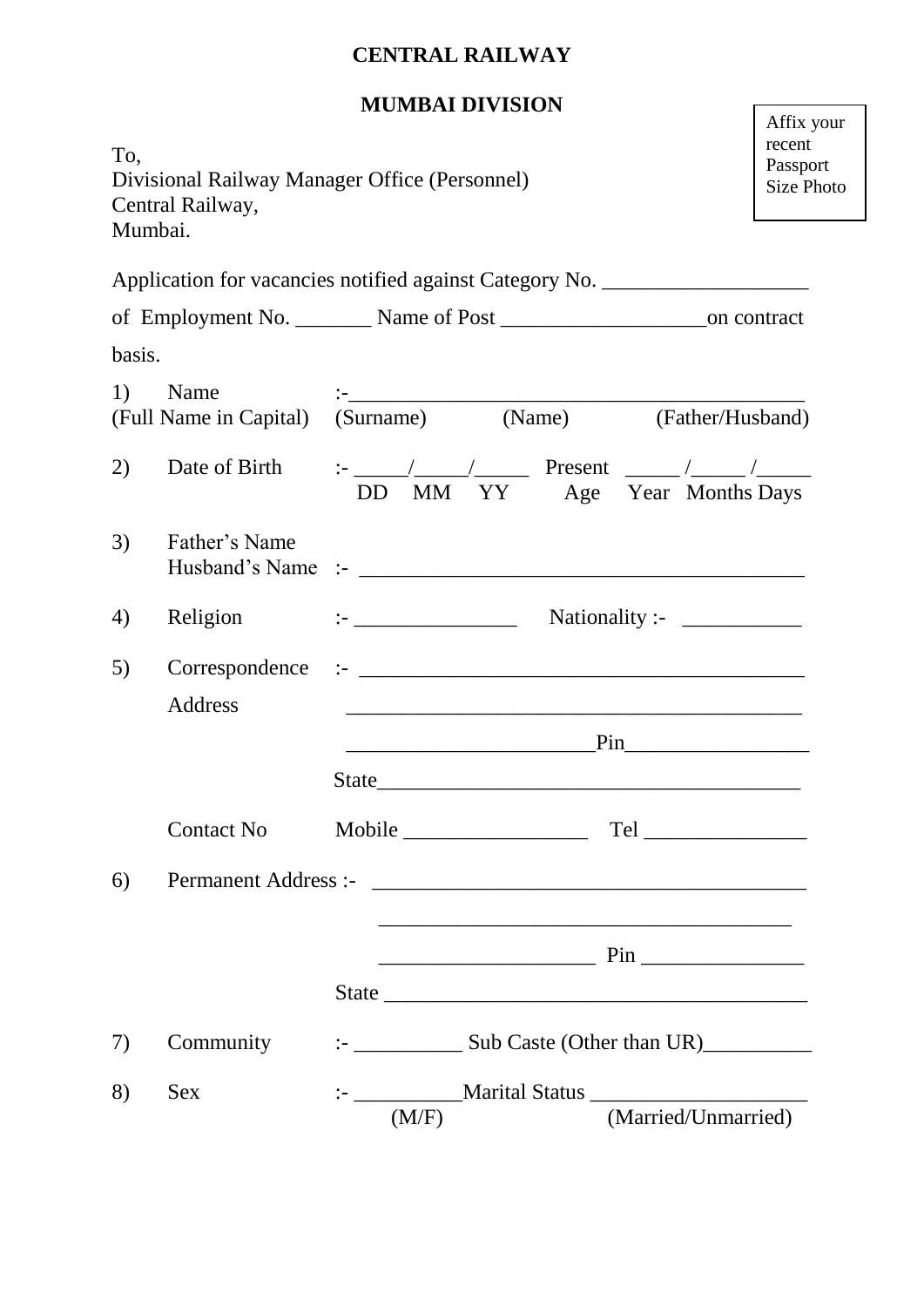# **CENTRAL RAILWAY**

# **MUMBAI DIVISION**

r

| To,    | Divisional Railway Manager Office (Personnel)<br>Central Railway,<br>Mumbai.      |                                         |       |                                                                                                                                                                                                                                   |  | Affix your<br>recent<br>Passport<br><b>Size Photo</b> |
|--------|-----------------------------------------------------------------------------------|-----------------------------------------|-------|-----------------------------------------------------------------------------------------------------------------------------------------------------------------------------------------------------------------------------------|--|-------------------------------------------------------|
|        | Application for vacancies notified against Category No. _________________________ |                                         |       |                                                                                                                                                                                                                                   |  |                                                       |
|        |                                                                                   |                                         |       |                                                                                                                                                                                                                                   |  |                                                       |
| basis. |                                                                                   |                                         |       |                                                                                                                                                                                                                                   |  |                                                       |
| 1)     | Name<br>(Full Name in Capital) (Surname) (Name) (Father/Husband)                  |                                         |       |                                                                                                                                                                                                                                   |  |                                                       |
| 2)     |                                                                                   | DD MM YY Age Year Months Days           |       |                                                                                                                                                                                                                                   |  |                                                       |
| 3)     | Father's Name                                                                     |                                         |       |                                                                                                                                                                                                                                   |  |                                                       |
| 4)     | Religion                                                                          | $: \_$                                  |       |                                                                                                                                                                                                                                   |  |                                                       |
| 5)     | Correspondence<br>Address                                                         |                                         |       | <u> 1989 - Johann John Stone, market fan de Fryske kun it ferskeart fan de Fryske kun it ferskeart fan de Fryske</u>                                                                                                              |  |                                                       |
|        |                                                                                   |                                         |       | $Pin$ and $Pin$ and $N$ and $N$ and $N$ and $N$ and $N$ and $N$ and $N$ and $N$ and $N$ and $N$ and $N$ and $N$ and $N$ and $N$ and $N$ and $N$ and $N$ and $N$ and $N$ and $N$ and $N$ and $N$ and $N$ and $N$ and $N$ and $N$ a |  |                                                       |
|        |                                                                                   |                                         |       |                                                                                                                                                                                                                                   |  |                                                       |
|        | Contact No                                                                        |                                         |       |                                                                                                                                                                                                                                   |  |                                                       |
| 6)     |                                                                                   |                                         |       |                                                                                                                                                                                                                                   |  |                                                       |
|        |                                                                                   |                                         |       |                                                                                                                                                                                                                                   |  |                                                       |
|        |                                                                                   |                                         |       |                                                                                                                                                                                                                                   |  |                                                       |
| 7)     | Community                                                                         | $\frac{1}{2}$ Sub Caste (Other than UR) |       |                                                                                                                                                                                                                                   |  |                                                       |
| 8)     | <b>Sex</b>                                                                        |                                         | (M/F) | (Married/Unmarried)                                                                                                                                                                                                               |  |                                                       |